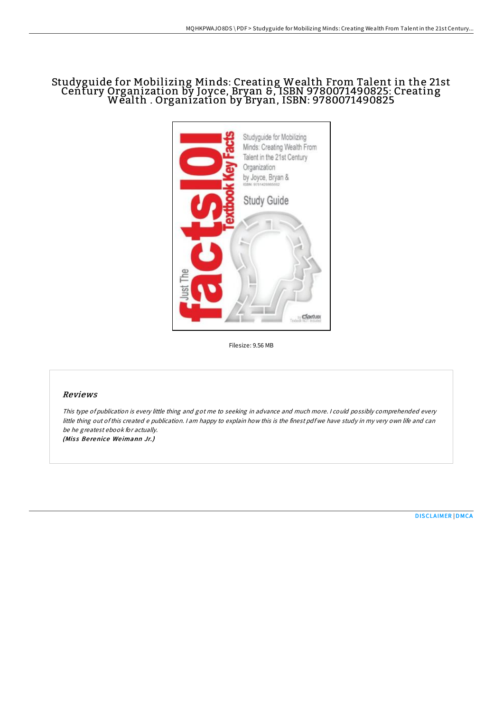# Studyguide for Mobilizing Minds: Creating Wealth From Talent in the 21st Century Organization by Joyce, Bryan &, ISBN 9780071490825: Creating Wealth . Organization by Bryan, ISBN: <sup>9780071490825</sup>



Filesize: 9.56 MB

## Reviews

This type of publication is every little thing and got me to seeking in advance and much more. <sup>I</sup> could possibly comprehended every little thing out ofthis created <sup>e</sup> publication. <sup>I</sup> am happy to explain how this is the finest pdf we have study in my very own life and can be he greatest ebook for actually. (Miss Berenice Weimann Jr.)

[DISCLAIMER](http://almighty24.tech/disclaimer.html) | [DMCA](http://almighty24.tech/dmca.html)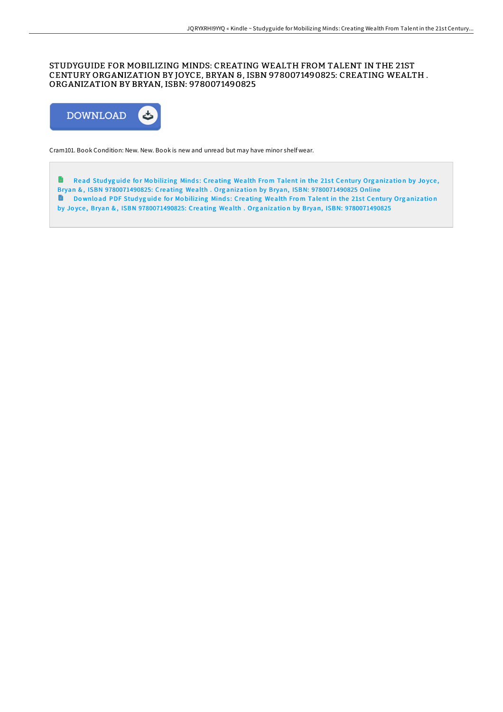## STUDYGUIDE FOR MOBILIZING MINDS: CREATING WEALTH FROM TALENT IN THE 21ST CENTURY ORGANIZATION BY JOYCE, BRYAN &, ISBN 978007 1490825: CREATING WEALTH . ORGANIZATION BY BRYAN, ISBN: 978007 1490825



Cram101. Book Condition: New. New. Book is new and unread but may have minor shelf wear.

 $\blacksquare$ Read Studyguide for Mobilizing Minds: Creating Wealth From Talent in the 21st Century Organization by Joyce, Bryan &, ISBN [9780071490825:](http://almighty24.tech/studyguide-for-mobilizing-minds-creating-wealth-.html) Creating Wealth . Organization by Bryan, ISBN: 9780071490825 Online<br>Download PDE Studyguide for Mobilizing Minds: Creating Wealth From Talent in the 21st Cent Download PDF Studyguide for Mobilizing Minds: Creating Wealth From Talent in the 21st Century Organization by Joyce, Bryan &, ISBN [9780071490825:](http://almighty24.tech/studyguide-for-mobilizing-minds-creating-wealth-.html) Creating Wealth . Organization by Bryan, ISBN: 9780071490825